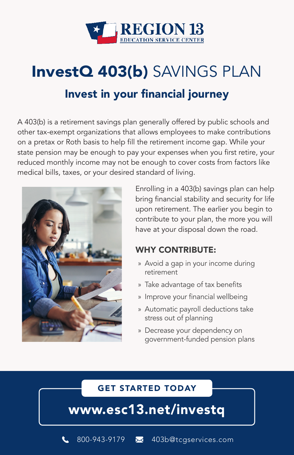

### InvestQ 403(b) SAVINGS PLAN

### Invest in your financial journey

A 403(b) is a retirement savings plan generally offered by public schools and other tax-exempt organizations that allows employees to make contributions on a pretax or Roth basis to help fill the retirement income gap. While your state pension may be enough to pay your expenses when you first retire, your reduced monthly income may not be enough to cover costs from factors like medical bills, taxes, or your desired standard of living.



Enrolling in a 403(b) savings plan can help bring financial stability and security for life upon retirement. The earlier you begin to contribute to your plan, the more you will have at your disposal down the road.

#### WHY CONTRIBUTE:

- » Avoid a gap in your income during retirement
- » Take advantage of tax benefits
- » Improve your financial wellbeing
- » Automatic payroll deductions take stress out of planning
- » Decrease your dependency on government-funded pension plans

#### GET STARTED TODAY

www.esc13.net/investq